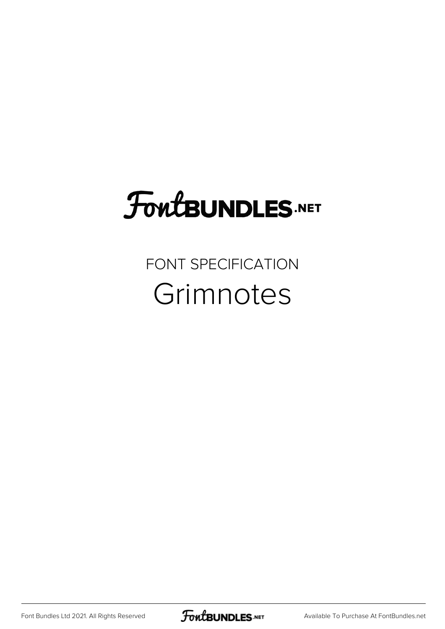# FoutBUNDLES.NET

FONT SPECIFICATION **Grimnotes** 

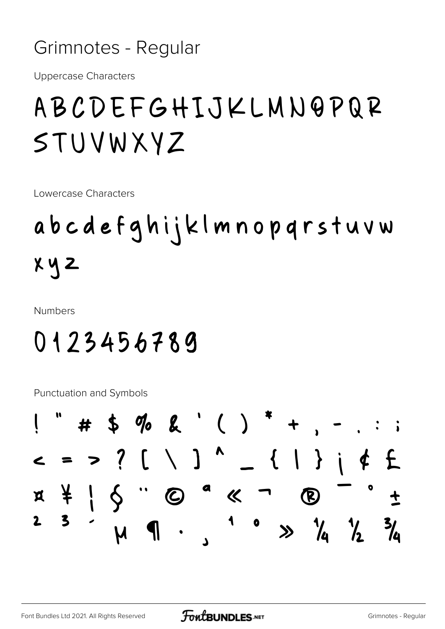#### Grimnotes - Regular

**Uppercase Characters** 

### ABCDEFGHIJKLMNQPQR STUVWXYZ

Lowercase Characters

# abcdefghijklmnopqrstuvw  $x \vee z$

**Numbers** 

### 0123456789

Punctuation and Symbols

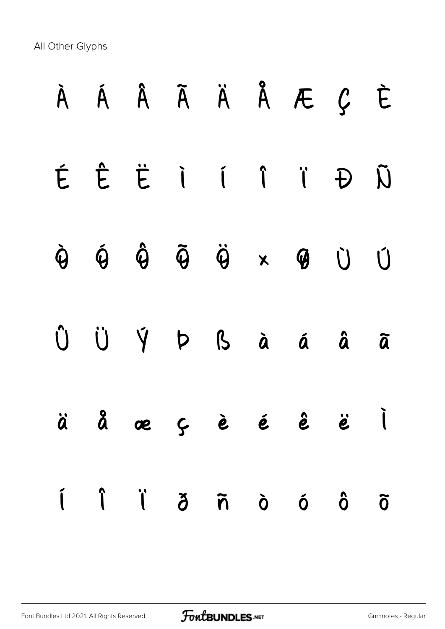All Other Glyphs

| À Á Â Ã Ä Å Æ Ç È                                                                                                                                                                                                                                                                                                                                                                                                                                                                                                                                                                                               |  |  |  |  |
|-----------------------------------------------------------------------------------------------------------------------------------------------------------------------------------------------------------------------------------------------------------------------------------------------------------------------------------------------------------------------------------------------------------------------------------------------------------------------------------------------------------------------------------------------------------------------------------------------------------------|--|--|--|--|
| É Ê Ë I Í Î Ï Đ Ñ                                                                                                                                                                                                                                                                                                                                                                                                                                                                                                                                                                                               |  |  |  |  |
| $\begin{array}{ccccccccccccccccc} \dot{\mathbf{\Theta}} & \dot{\mathbf{\Theta}} & \dot{\mathbf{\Theta}} & \dot{\mathbf{\Theta}} & \dot{\mathbf{\Theta}} & \dot{\mathbf{\Theta}} & \dot{\mathbf{\Theta}} & \dot{\mathbf{\Theta}} & \dot{\mathbf{\Theta}} & \dot{\mathbf{\Theta}} & \dot{\mathbf{\Theta}} & \dot{\mathbf{\Theta}} & \dot{\mathbf{\Theta}} & \dot{\mathbf{\Theta}} & \dot{\mathbf{\Theta}} & \dot{\mathbf{\Theta}} & \dot{\mathbf{\Theta}} & \dot{\mathbf{\Theta}} & \dot{\mathbf{\Theta}} & \dot{\mathbf{\Theta}} & \dot{\mathbf{\Theta}} & \dot{\mathbf{\Theta}} & \dot{\mathbf{\Theta}} & \dot$ |  |  |  |  |
| Û Ü Ý Þ ß à á â ã                                                                                                                                                                                                                                                                                                                                                                                                                                                                                                                                                                                               |  |  |  |  |
| äåæçèéêë                                                                                                                                                                                                                                                                                                                                                                                                                                                                                                                                                                                                        |  |  |  |  |
| i î ï ă ñ ò ó ô õ                                                                                                                                                                                                                                                                                                                                                                                                                                                                                                                                                                                               |  |  |  |  |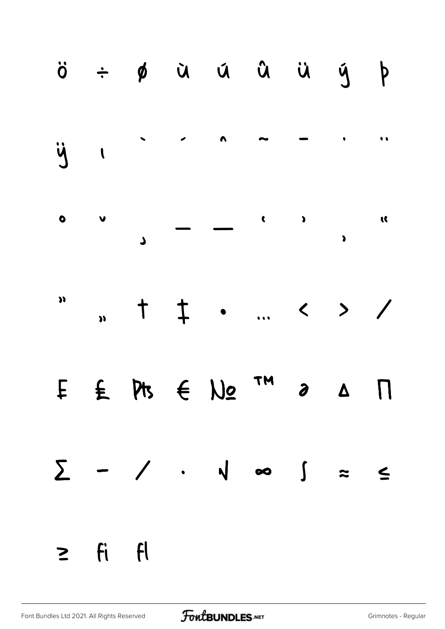|              |  | ö ÷ ø ŭ ű û ü ğ þ                                                                                                     |  |  |
|--------------|--|-----------------------------------------------------------------------------------------------------------------------|--|--|
|              |  |                                                                                                                       |  |  |
|              |  |                                                                                                                       |  |  |
|              |  | $\sum_{n=1}^{\infty}$ , $\frac{1}{n}$ , $\frac{1}{n}$ , $\frac{1}{n}$ , $\frac{1}{n}$ , $\frac{1}{n}$ , $\frac{1}{n}$ |  |  |
|              |  | $E \in M$ $\in N$ <sup>TM</sup> $\in$ $\Lambda$ $\Pi$                                                                 |  |  |
|              |  | $\sum$ - / · v ∞ $\int$ = $\le$                                                                                       |  |  |
| $\geq$ fi fl |  |                                                                                                                       |  |  |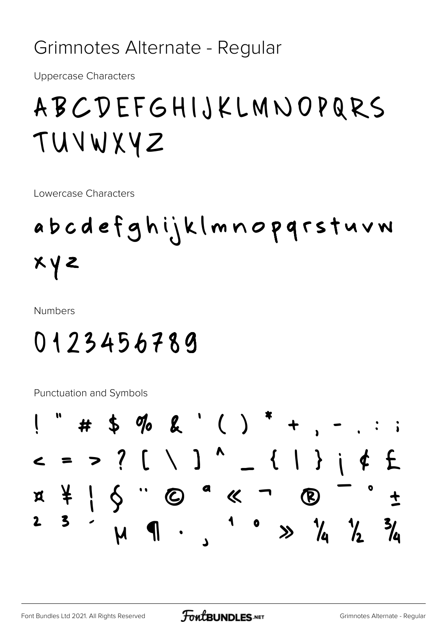Grimnotes Alternate - Regular

**Uppercase Characters** 

### ABCDEFGHIJKLMNOPQRS TUVWXYZ

Lowercase Characters

## abcdefghijklmnopqrstuvw  $x \vee z$

**Numbers** 

#### 0123456789

Punctuation and Symbols

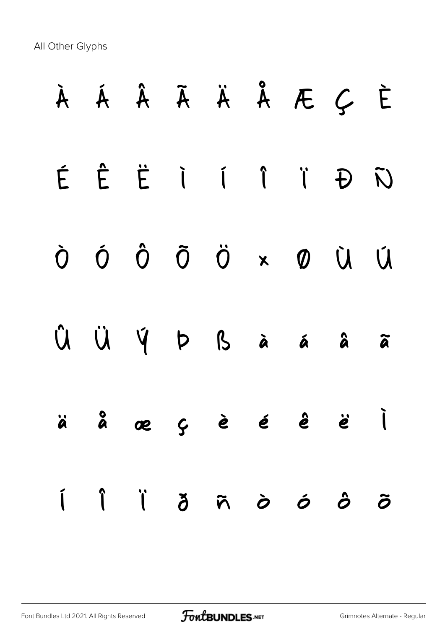All Other Glyphs

|  |  |  | À Á Â Ã Ä Å Æ Ç È      |  |
|--|--|--|------------------------|--|
|  |  |  | ÉÊËIÍÎÎĐÑ              |  |
|  |  |  | Ò Ó Ô Õ Ö × Ø Ù Ú      |  |
|  |  |  | Û Ü Ý Þ ß à á â ã      |  |
|  |  |  | äåæçèéê ë İ            |  |
|  |  |  | IÎ li ji ji nivî di di |  |